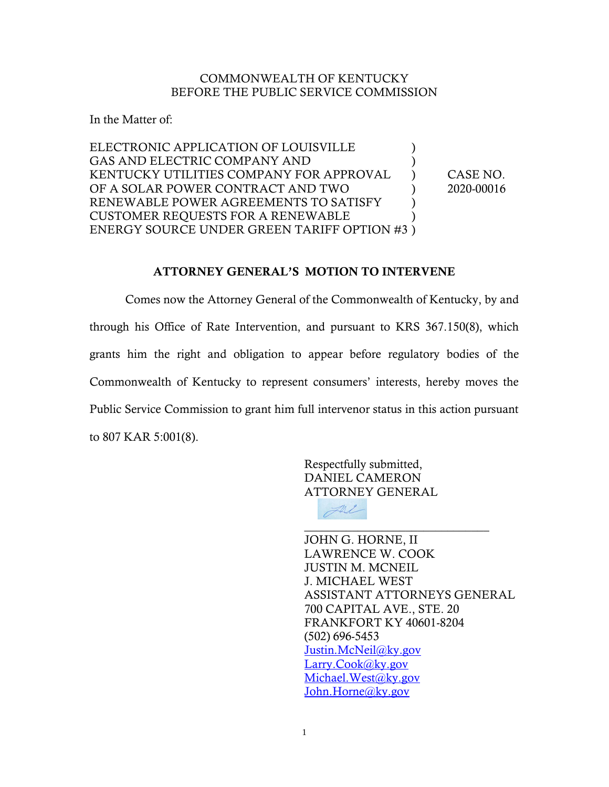## COMMONWEALTH OF KENTUCKY BEFORE THE PUBLIC SERVICE COMMISSION

In the Matter of:

ELECTRONIC APPLICATION OF LOUISVILLE ) GAS AND ELECTRIC COMPANY AND ) KENTUCKY UTILITIES COMPANY FOR APPROVAL ) CASE NO. OF A SOLAR POWER CONTRACT AND TWO ) 2020-00016 RENEWABLE POWER AGREEMENTS TO SATISFY ) CUSTOMER REQUESTS FOR A RENEWABLE ) ENERGY SOURCE UNDER GREEN TARIFF OPTION #3 )

## ATTORNEY GENERAL'S MOTION TO INTERVENE

Comes now the Attorney General of the Commonwealth of Kentucky, by and through his Office of Rate Intervention, and pursuant to KRS 367.150(8), which grants him the right and obligation to appear before regulatory bodies of the Commonwealth of Kentucky to represent consumers' interests, hereby moves the Public Service Commission to grant him full intervenor status in this action pursuant to 807 KAR 5:001(8).

> Respectfully submitted, DANIEL CAMERON ATTORNEY GENERAL



JOHN G. HORNE, II LAWRENCE W. COOK JUSTIN M. MCNEIL J. MICHAEL WEST ASSISTANT ATTORNEYS GENERAL 700 CAPITAL AVE., STE. 20 FRANKFORT KY 40601-8204 (502) 696-5453 [Justin.McNeil@ky.gov](mailto:Justin.McNeil@ky.gov) [Larry.Cook@ky.gov](mailto:Larry.Cook@ky.gov) [Michael.West@ky.gov](mailto:Michael.West@ky.gov) [John.Horne@ky.gov](mailto:John.Horne@ky.gov)